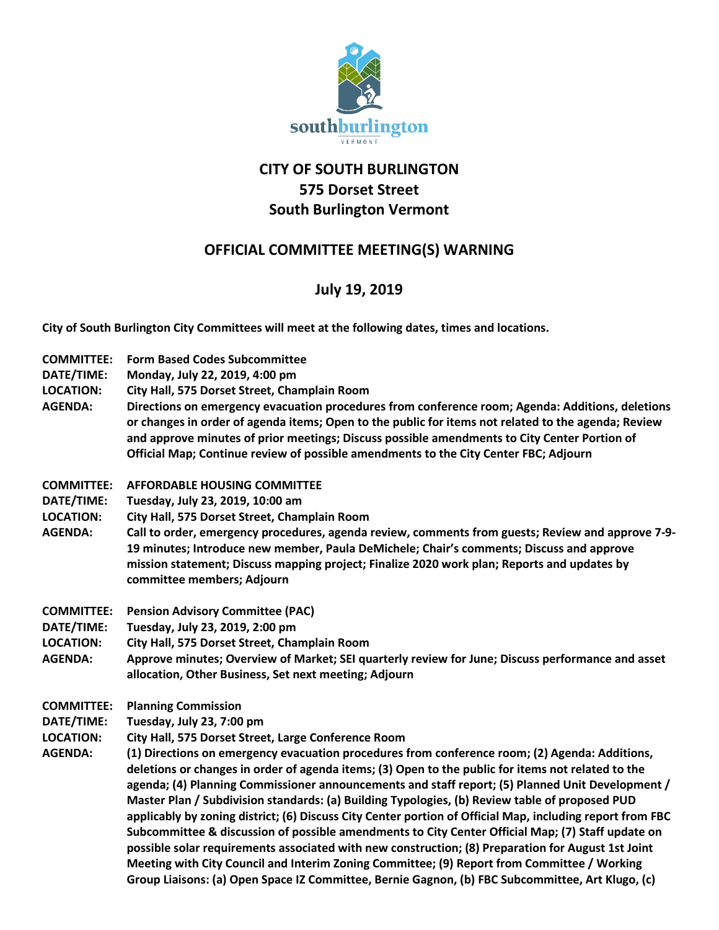

## **CITY OF SOUTH BURLINGTON 575 Dorset Street South Burlington Vermont**

## **OFFICIAL COMMITTEE MEETING(S) WARNING**

## **July 19, 2019**

**City of South Burlington City Committees will meet at the following dates, times and locations.** 

- **COMMITTEE: Form Based Codes Subcommittee**
- **DATE/TIME: Monday, July 22, 2019, 4:00 pm**
- **LOCATION: City Hall, 575 Dorset Street, Champlain Room**
- **AGENDA: Directions on emergency evacuation procedures from conference room; Agenda: Additions, deletions or changes in order of agenda items; Open to the public for items not related to the agenda; Review and approve minutes of prior meetings; Discuss possible amendments to City Center Portion of Official Map; Continue review of possible amendments to the City Center FBC; Adjourn**
- **COMMITTEE: AFFORDABLE HOUSING COMMITTEE**
- **DATE/TIME: Tuesday, July 23, 2019, 10:00 am**
- **LOCATION: City Hall, 575 Dorset Street, Champlain Room**
- **AGENDA: Call to order, emergency procedures, agenda review, comments from guests; Review and approve 7-9- 19 minutes; Introduce new member, Paula DeMichele; Chair's comments; Discuss and approve mission statement; Discuss mapping project; Finalize 2020 work plan; Reports and updates by committee members; Adjourn**
- **COMMITTEE: Pension Advisory Committee (PAC)**
- **DATE/TIME: Tuesday, July 23, 2019, 2:00 pm**
- **LOCATION: City Hall, 575 Dorset Street, Champlain Room**
- **AGENDA: Approve minutes; Overview of Market; SEI quarterly review for June; Discuss performance and asset allocation, Other Business, Set next meeting; Adjourn**
- **COMMITTEE: Planning Commission**
- **DATE/TIME: Tuesday, July 23, 7:00 pm**
- **LOCATION: City Hall, 575 Dorset Street, Large Conference Room**
- **AGENDA: (1) Directions on emergency evacuation procedures from conference room; (2) Agenda: Additions, deletions or changes in order of agenda items; (3) Open to the public for items not related to the agenda; (4) Planning Commissioner announcements and staff report; (5) Planned Unit Development / Master Plan / Subdivision standards: (a) Building Typologies, (b) Review table of proposed PUD applicably by zoning district; (6) Discuss City Center portion of Official Map, including report from FBC Subcommittee & discussion of possible amendments to City Center Official Map; (7) Staff update on possible solar requirements associated with new construction; (8) Preparation for August 1st Joint Meeting with City Council and Interim Zoning Committee; (9) Report from Committee / Working Group Liaisons: (a) Open Space IZ Committee, Bernie Gagnon, (b) FBC Subcommittee, Art Klugo, (c)**